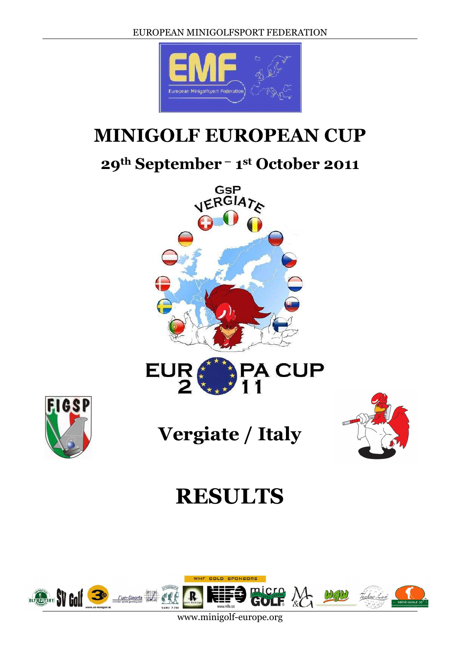

## **MINIGOLF EUROPEAN CUP**

### **29th September – 1st October 2011**





**Vergiate / Italy** 



# **RESULTS**



www.minigolf-europe.org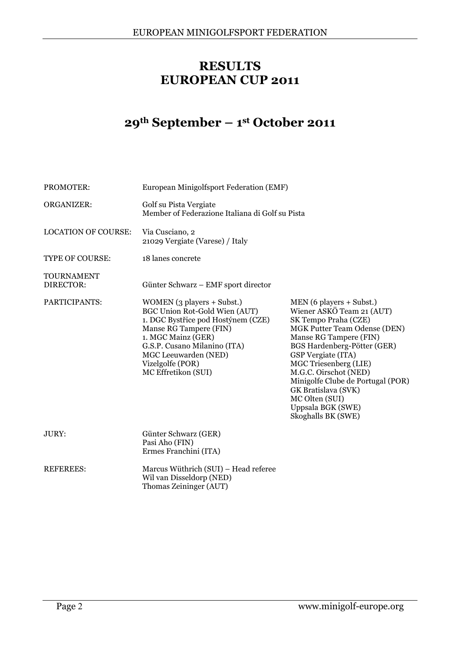#### **RESULTS EUROPEAN CUP 2011**

#### **29th September – 1st October 2011**

| PROMOTER:                      | European Minigolfsport Federation (EMF)                                                                                                                                                                                                                     |                                                                                                                                                                                                                                                                                                                                                                          |
|--------------------------------|-------------------------------------------------------------------------------------------------------------------------------------------------------------------------------------------------------------------------------------------------------------|--------------------------------------------------------------------------------------------------------------------------------------------------------------------------------------------------------------------------------------------------------------------------------------------------------------------------------------------------------------------------|
| <b>ORGANIZER:</b>              | Golf su Pista Vergiate<br>Member of Federazione Italiana di Golf su Pista                                                                                                                                                                                   |                                                                                                                                                                                                                                                                                                                                                                          |
| <b>LOCATION OF COURSE:</b>     | Via Cusciano, 2<br>21029 Vergiate (Varese) / Italy                                                                                                                                                                                                          |                                                                                                                                                                                                                                                                                                                                                                          |
| <b>TYPE OF COURSE:</b>         | 18 lanes concrete                                                                                                                                                                                                                                           |                                                                                                                                                                                                                                                                                                                                                                          |
| <b>TOURNAMENT</b><br>DIRECTOR: | Günter Schwarz - EMF sport director                                                                                                                                                                                                                         |                                                                                                                                                                                                                                                                                                                                                                          |
| PARTICIPANTS:                  | WOMEN (3 players + Subst.)<br><b>BGC Union Rot-Gold Wien (AUT)</b><br>1. DGC Bystřice pod Hostýnem (CZE)<br>Manse RG Tampere (FIN)<br>1. MGC Mainz (GER)<br>G.S.P. Cusano Milanino (ITA)<br>MGC Leeuwarden (NED)<br>Vizelgolfe (POR)<br>MC Effretikon (SUI) | $MEN(6$ players + Subst.)<br>Wiener ASKÖ Team 21 (AUT)<br>SK Tempo Praha (CZE)<br>MGK Putter Team Odense (DEN)<br>Manse RG Tampere (FIN)<br>BGS Hardenberg-Pötter (GER)<br>GSP Vergiate (ITA)<br>MGC Triesenberg (LIE)<br>M.G.C. Oirschot (NED)<br>Minigolfe Clube de Portugal (POR)<br>GK Bratislava (SVK)<br>MC Olten (SUI)<br>Uppsala BGK (SWE)<br>Skoghalls BK (SWE) |
| JURY:                          | Günter Schwarz (GER)<br>Pasi Aho (FIN)<br>Ermes Franchini (ITA)                                                                                                                                                                                             |                                                                                                                                                                                                                                                                                                                                                                          |
| <b>REFEREES:</b>               | Marcus Wüthrich (SUI) - Head referee<br>Wil van Disseldorp (NED)<br>Thomas Zeininger (AUT)                                                                                                                                                                  |                                                                                                                                                                                                                                                                                                                                                                          |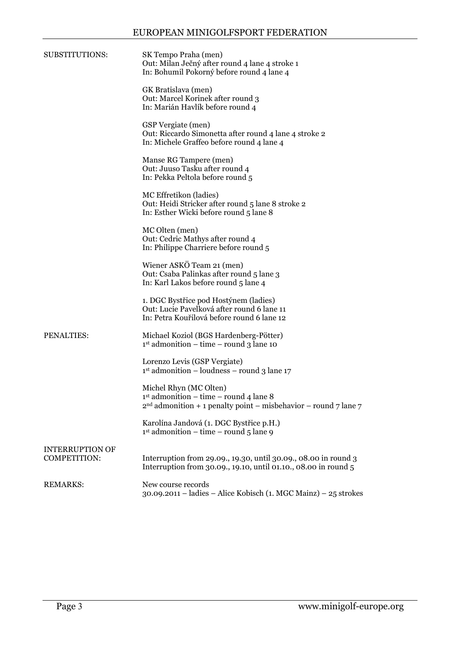| SUBSTITUTIONS:                                | SK Tempo Praha (men)<br>Out: Milan Ječný after round 4 lane 4 stroke 1<br>In: Bohumil Pokorný before round 4 lane 4                     |
|-----------------------------------------------|-----------------------------------------------------------------------------------------------------------------------------------------|
|                                               | GK Bratislava (men)<br>Out: Marcel Korinek after round 3<br>In: Marián Havlík before round 4                                            |
|                                               | GSP Vergiate (men)<br>Out: Riccardo Simonetta after round 4 lane 4 stroke 2<br>In: Michele Graffeo before round 4 lane 4                |
|                                               | Manse RG Tampere (men)<br>Out: Juuso Tasku after round 4<br>In: Pekka Peltola before round 5                                            |
|                                               | MC Effretikon (ladies)<br>Out: Heidi Stricker after round 5 lane 8 stroke 2<br>In: Esther Wicki before round 5 lane 8                   |
|                                               | MC Olten (men)<br>Out: Cedric Mathys after round 4<br>In: Philippe Charriere before round 5                                             |
|                                               | Wiener ASKÖ Team 21 (men)<br>Out: Csaba Palinkas after round 5 lane 3<br>In: Karl Lakos before round 5 lane 4                           |
|                                               | 1. DGC Bystřice pod Hostýnem (ladies)<br>Out: Lucie Pavelková after round 6 lane 11<br>In: Petra Kouřilová before round 6 lane 12       |
| PENALTIES:                                    | Michael Koziol (BGS Hardenberg-Pötter)<br>$1st$ admonition – time – round 3 lane 10                                                     |
|                                               | Lorenzo Levis (GSP Vergiate)<br>$1st$ admonition – loudness – round 3 lane $17$                                                         |
|                                               | Michel Rhyn (MC Olten)<br>$1st$ admonition – time – round 4 lane 8<br>$2nd$ admonition + 1 penalty point – misbehavior – round 7 lane 7 |
|                                               | Karolína Jandová (1. DGC Bystřice p.H.)<br>$1st$ admonition – time – round 5 lane 9                                                     |
| <b>INTERRUPTION OF</b><br><b>COMPETITION:</b> | Interruption from 29.09., 19.30, until 30.09., 08.00 in round 3<br>Interruption from 30.09., 19.10, until 01.10., 08.00 in round 5      |
| <b>REMARKS:</b>                               | New course records<br>30.09.2011 – ladies – Alice Kobisch (1. MGC Mainz) – 25 strokes                                                   |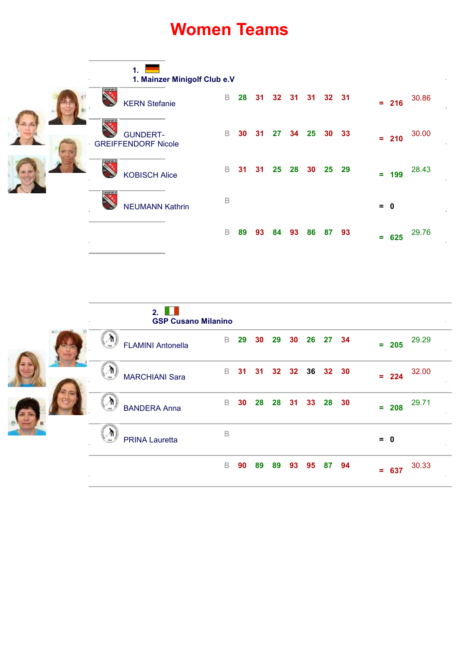### **Women Teams**

|  |                |                                               | 1.                     | 1. Mainzer Minigolf Club e.V |             |    |    |       |       |       |       |         |         |       |       |
|--|----------------|-----------------------------------------------|------------------------|------------------------------|-------------|----|----|-------|-------|-------|-------|---------|---------|-------|-------|
|  |                | <b>MARYNER</b>                                | <b>KERN</b> Stefanie   |                              | B           | 28 | 31 |       | 32 31 | 31    | 32 31 |         | $= 216$ |       | 30.86 |
|  | <b>TMARYAN</b> | <b>GUNDERT-</b><br><b>GREIFFENDORF Nicole</b> |                        | B                            | 30          | 31 | 27 | 34 25 |       | 30 33 |       | $= 210$ |         | 30.00 |       |
|  |                | <b>MARVA K</b>                                | <b>KOBISCH Alice</b>   |                              | B           | 31 | 31 | 25    | 28    | 30    | 25    | 29      | $= 199$ |       | 28.43 |
|  |                | <b>MARYAY</b>                                 | <b>NEUMANN Kathrin</b> |                              | B           |    |    |       |       |       |       |         | $= 0$   |       |       |
|  |                |                                               |                        |                              | $\mathsf B$ | 89 | 93 | 84    | 93    | 86    | 87 93 |         | Ξ.      | 625   | 29.76 |

|  |    |                     | 2.<br><b>GSP Cusano Milanino</b> |             |    |                      |    |    |                |       |         |         |       |        |
|--|----|---------------------|----------------------------------|-------------|----|----------------------|----|----|----------------|-------|---------|---------|-------|--------|
|  |    |                     | <b>FLAMINI Antonella</b>         | B           | 29 | 30                   | 29 | 30 | 26             | 27    | 34      | $= 205$ | 29.29 |        |
|  |    | Δ                   | <b>MARCHIANI Sara</b>            | B           | 31 | 31                   |    |    | 32 32 36 32 30 |       |         | $= 224$ | 32.00 |        |
|  | n, | <b>BANDERA Anna</b> | B                                |             |    | 30 28 28 31 33 28 30 |    |    |                |       | $= 208$ | 29.71   |       |        |
|  |    |                     | <b>PRINA Lauretta</b>            | $\mathsf B$ |    |                      |    |    |                |       |         | $= 0$   |       | $\sim$ |
|  |    |                     |                                  | B           | 90 | 89                   | 89 | 93 | 95             | 87 94 |         | $= 637$ | 30.33 |        |

 $\overline{a}$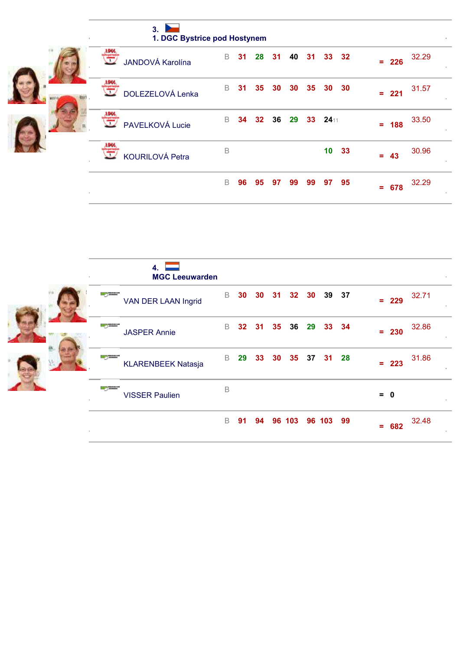|       | 3.<br>1. DGC Bystrice pod Hostynem |   |    |                 |    |                 |                 |      |       |     |         |       |  |
|-------|------------------------------------|---|----|-----------------|----|-----------------|-----------------|------|-------|-----|---------|-------|--|
| τ     | JANDOVÁ Karolína                   | B | 31 | 28              | 31 | 40              | 31              |      | 33 32 | $=$ | 226     | 32.29 |  |
| 1:D66 | DOLEZELOVÁ Lenka                   | B | 31 | 35 <sub>5</sub> | 30 | 30 <sub>o</sub> | 35 <sub>o</sub> |      | 30 30 |     | $= 221$ | 31.57 |  |
| 77    | PAVELKOVÁ Lucie                    | B | 34 | 32 <sub>2</sub> | 36 | 29              | 33              | 2411 |       | $=$ | 188     | 33.50 |  |
|       | <b>KOURILOVÁ Petra</b>             | B |    |                 |    |                 |                 |      | 10 33 |     | $= 43$  | 30.96 |  |
|       |                                    | B | 96 | 95              | 97 | 99              | 99              | 97   | 95    | Ξ.  | 678     | 32.29 |  |

| 4.<br><b>MGC Leeuwarden</b><br>×.            |    |    |                 |    |                 |             |    |                  |
|----------------------------------------------|----|----|-----------------|----|-----------------|-------------|----|------------------|
| <b>La Comme</b><br>VAN DER LAAN Ingrid       | B  | 30 | 30 <sub>o</sub> | 31 |                 | 32 30 39 37 |    | 32.71<br>$= 229$ |
| <b>State</b><br><b>JASPER Annie</b>          | B  |    | 32 31           |    | 35 36 29 33 34  |             |    | 32.86<br>$= 230$ |
| <b>Contract</b><br><b>KLARENBEEK Natasja</b> | B. | 29 | 33              | 30 | 35 <sub>o</sub> | 37 31 28    |    | 31.86<br>$= 223$ |
| <b>The Contract</b><br><b>VISSER Paulien</b> | B  |    |                 |    |                 |             |    | $= 0$            |
|                                              | B  | 91 | 94              |    | 96 103          | 96 103      | 99 | 32.48<br>$= 682$ |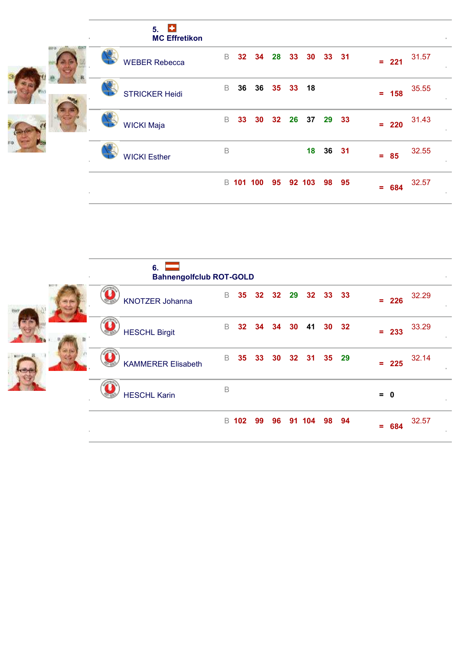|       | $\left  \cdot \right $<br>5.<br><b>MC Effretikon</b> |    |                 |                  |                 |          |       |       |    |         |       |  |
|-------|------------------------------------------------------|----|-----------------|------------------|-----------------|----------|-------|-------|----|---------|-------|--|
| з     | <b>WEBER Rebecca</b>                                 | B  | 32 <sub>2</sub> | 34               | 28              | 33 30    |       | 33 31 | Ξ. | 221     | 31.57 |  |
| est o | <b>STRICKER Heidi</b>                                | B  | 36              | 36               |                 | 35 33 18 |       |       |    | $= 158$ | 35.55 |  |
|       | <b>WICKI Maja</b>                                    | B. | 33              | 30               | 32 <sub>2</sub> | 26 37    | 29    | 33    |    | $= 220$ | 31.43 |  |
| FO.   | <b>WICKI Esther</b>                                  | B  |                 |                  |                 | 18       | 36 31 |       |    | $= 85$  | 32.55 |  |
|       |                                                      |    |                 | <b>B</b> 101 100 | 95              | 92 103   |       | 98 95 | Ξ. | 684     | 32.57 |  |

|    | 6.<br><b>Bahnengolfclub ROT-GOLD</b><br>$\sim$ |   |                 |       |                 |    |                   |       |       |                   |       |
|----|------------------------------------------------|---|-----------------|-------|-----------------|----|-------------------|-------|-------|-------------------|-------|
| 第四 | <b>KNOTZER Johanna</b>                         | B | 35 <sub>5</sub> |       |                 |    | 32 32 29 32 33 33 |       |       | $\equiv$ .<br>226 | 32.29 |
|    | <b>HESCHL Birgit</b>                           | B |                 | 32 34 | 34              | 30 | 41                |       | 30 32 | $= 233$           | 33.29 |
|    | <b>KAMMERER Elisabeth</b>                      | B | 35              | 33    | 30 <sup>°</sup> |    | 32 31 35 29       |       |       | $= 225$           | 32.14 |
|    | <b>HESCHL Karin</b>                            | B |                 |       |                 |    |                   |       |       | $= 0$             |       |
|    |                                                |   | <b>B</b> 102    | 99    | 96              |    | 91 104            | 98 94 |       | $= 684$           | 32.57 |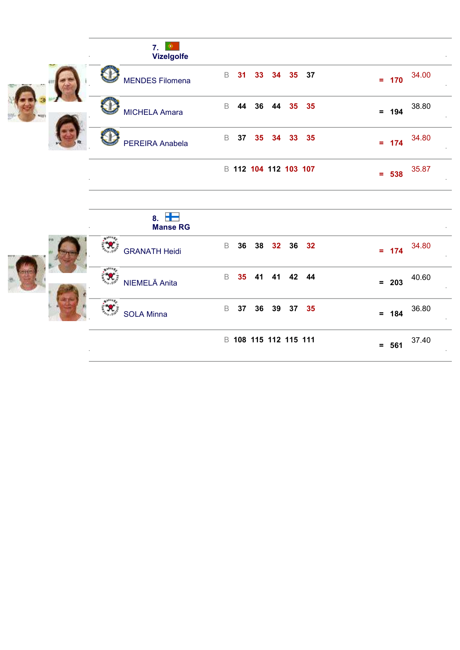| 7.<br>۰<br><b>Vizelgolfe</b>         |                                                        |                            |
|--------------------------------------|--------------------------------------------------------|----------------------------|
| <b>MENDES Filomena</b>               | B<br>31<br>35 37<br>33<br>34                           | 34.00<br>$= 170$           |
| <b>MICHELA Amara</b>                 | B<br>44<br>36<br>35 <sub>o</sub><br>35<br>44           | 38.80<br>194<br>$=$        |
| PEREIRA Anabela                      | $\mathsf B$<br>37<br>35 <sub>5</sub><br>35<br>34<br>33 | 34.80<br>174<br>$\equiv$ . |
| $\sim$                               | B 112 104 112 103 107                                  | 35.87<br>$= 538$           |
| 8. $\blacksquare$<br><b>Manse RG</b> |                                                        |                            |
| <b>GRANATH Heidi</b>                 | 36<br>32<br>B<br>38<br>36<br>32                        | 34.80<br>174<br>$\equiv$   |

**SOLA Minna** 

1980年

**N. EXECUTE Anita** B 35 41 41 42 44 **= 203** 40.60

<sup>B</sup> **037 036 039 037 035 = 184** 36.80

<sup>B</sup> **108 115 112 115 111 = 561** 37.40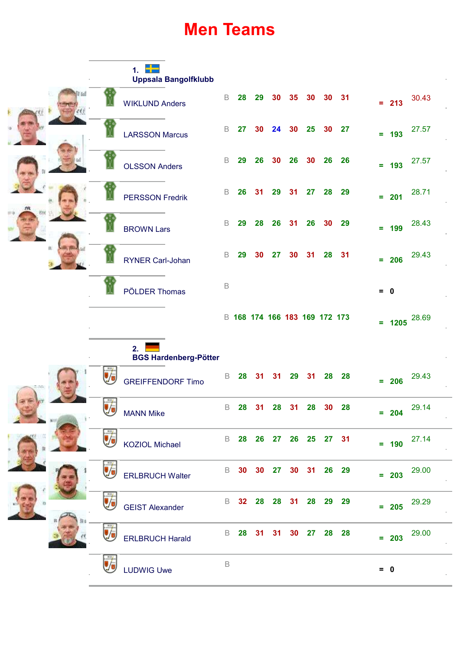### **Men Teams**

|  |  |                        | 1.<br><b>Uppsala Bangolfklubb</b>  |             |       |    |                |                               |             |                 |         |          |       |  |
|--|--|------------------------|------------------------------------|-------------|-------|----|----------------|-------------------------------|-------------|-----------------|---------|----------|-------|--|
|  |  |                        | <b>WIKLUND Anders</b>              | B           | 28    | 29 | 30             | 35                            | 30          | 30              | 31      | $= 213$  | 30.43 |  |
|  |  |                        | <b>LARSSON Marcus</b>              | B           | 27    | 30 | 24             | 30 <sup>°</sup>               | 25          | 30 <sub>o</sub> | 27      | $= 193$  | 27.57 |  |
|  |  |                        | <b>OLSSON Anders</b>               | B           | 29    | 26 | 30             | 26                            | 30          | 26              | 26      | $= 193$  | 27.57 |  |
|  |  |                        | <b>PERSSON Fredrik</b>             | B           | 26    | 31 | 29             | 31                            | 27          | 28              | 29      | $= 201$  | 28.71 |  |
|  |  |                        | <b>BROWN Lars</b>                  | B           | 29    | 28 | 26             | 31                            | 26          | 30              | 29      | $= 199$  | 28.43 |  |
|  |  |                        | <b>RYNER Carl-Johan</b>            | B           | 29    | 30 | 27             | 30                            | 31          | 28              | 31      | $= 206$  | 29.43 |  |
|  |  |                        | PÖLDER Thomas                      | B           |       |    |                |                               |             |                 |         | $= 0$    |       |  |
|  |  |                        |                                    |             |       |    |                | B 168 174 166 183 169 172 173 |             |                 |         | $= 1205$ | 28.69 |  |
|  |  |                        | 2.<br><b>BGS Hardenberg-Pötter</b> |             |       |    |                |                               |             |                 |         |          |       |  |
|  |  |                        | <b>GREIFFENDORF Timo</b>           | B           | 28    | 31 | 31             | 29                            | 31          | 28              | 28      | $= 206$  | 29.43 |  |
|  |  | Ŵ                      | <b>MANN Mike</b>                   | B           | 28    | 31 |                | 28 31                         |             | 28 30 28        |         | $= 204$  | 29.14 |  |
|  |  |                        | <b>KOZIOL Michael</b>              |             |       |    |                | B 28 26 27 26 25 27 31        |             |                 |         | $= 190$  | 27.14 |  |
|  |  |                        | <b>ERLBRUCH Walter</b>             | B           | 30    | 30 | 27             |                               | 30 31 26 29 |                 |         | $= 203$  | 29.00 |  |
|  |  | <b>GEIST Alexander</b> | B                                  |             | 32 28 |    | 28 31 28 29 29 |                               |             |                 | $= 205$ | 29.29    |       |  |
|  |  |                        | <b>ERLBRUCH Harald</b>             | B           | 28    | 31 | 31             |                               | 30 27 28 28 |                 |         | $= 203$  | 29.00 |  |
|  |  |                        | <b>LUDWIG Uwe</b>                  | $\mathsf B$ |       |    |                |                               |             |                 |         | $= 0$    |       |  |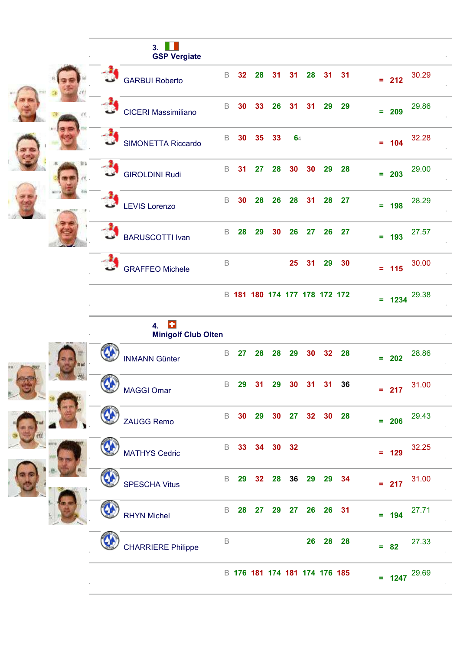|  | ш<br>3.<br><b>GSP Vergiate</b> |             |    |    |    |                               |     |    |    |          |       |  |
|--|--------------------------------|-------------|----|----|----|-------------------------------|-----|----|----|----------|-------|--|
|  | <b>GARBUI Roberto</b>          | B           | 32 | 28 | 31 | 31                            | 28  | 31 | 31 | $= 212$  | 30.29 |  |
|  | <b>CICERI Massimiliano</b>     | B           | 30 | 33 | 26 | 31                            | -31 | 29 | 29 | $= 209$  | 29.86 |  |
|  | <b>SIMONETTA Riccardo</b>      | B           | 30 | 35 | 33 | 64                            |     |    |    | $= 104$  | 32.28 |  |
|  | <b>GIROLDINI Rudi</b>          | $\mathsf B$ | 31 | 27 | 28 | 30                            | 30  | 29 | 28 | $= 203$  | 29.00 |  |
|  | <b>LEVIS Lorenzo</b>           | B           | 30 | 28 | 26 | 28                            | 31  | 28 | 27 | $= 198$  | 28.29 |  |
|  | <b>BARUSCOTTI Ivan</b>         | B           | 28 | 29 | 30 | 26                            | 27  | 26 | 27 | $= 193$  | 27.57 |  |
|  | <b>GRAFFEO Michele</b>         | B           |    |    |    | 25                            | 31  | 29 | 30 | $= 115$  | 30.00 |  |
|  |                                |             |    |    |    | B 181 180 174 177 178 172 172 |     |    |    | $= 1234$ | 29.38 |  |

|          | 4.<br><b>Minigolf Club Olten</b> |    |    |                               |       |    |    |                 |    |     |          |       |  |
|----------|----------------------------------|----|----|-------------------------------|-------|----|----|-----------------|----|-----|----------|-------|--|
|          | <b>INMANN Günter</b>             | B  | 27 | 28                            | 28    | 29 | 30 | 32 <sub>2</sub> | 28 |     | $= 202$  | 28.86 |  |
| <u>ଓ</u> | <b>MAGGI Omar</b>                | B  | 29 | 31                            | 29    | 30 | 31 | 31              | 36 |     | $= 217$  | 31.00 |  |
|          | <b>ZAUGG Remo</b>                | B  | 30 | 29                            | 30    | 27 | 32 | 30              | 28 |     | $= 206$  | 29.43 |  |
|          | <b>MATHYS Cedric</b>             | B  | 33 |                               | 34 30 | 32 |    |                 |    |     | $= 129$  | 32.25 |  |
|          | <b>SPESCHA Vitus</b>             | B  | 29 | 32                            | 28    | 36 | 29 | 29              | 34 |     | $= 217$  | 31.00 |  |
|          | <b>RHYN Michel</b>               | B. | 28 | 27                            | 29    | 27 | 26 | 26              | 31 |     | $= 194$  | 27.71 |  |
|          | <b>CHARRIERE Philippe</b>        | B  |    |                               |       |    | 26 | 28              | 28 | $=$ | 82       | 27.33 |  |
|          |                                  |    |    | B 176 181 174 181 174 176 185 |       |    |    |                 |    |     | $= 1247$ | 29.69 |  |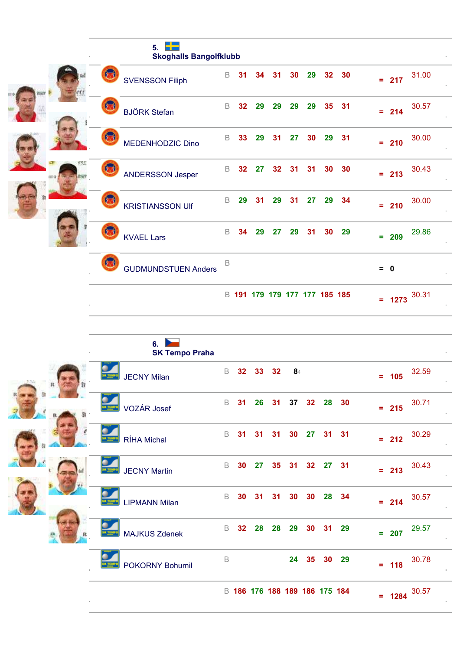|         | 5.<br><b>Skoghalls Bangolfklubb</b> |             |    |    |    |                               |    |    |    |             |       |
|---------|-------------------------------------|-------------|----|----|----|-------------------------------|----|----|----|-------------|-------|
|         | <b>SVENSSON Filiph</b>              | B           | 31 | 34 | 31 | 30                            | 29 | 32 | 30 | $= 217$     | 31.00 |
|         | <b>BJÖRK Stefan</b>                 | B           | 32 | 29 | 29 | 29                            | 29 | 35 | 31 | $= 214$     | 30.57 |
|         | MEDENHODZIC Dino                    | B           | 33 | 29 | 31 | 27                            | 30 | 29 | 31 | $= 210$     | 30.00 |
| titi al | ANDERSSON Jesper                    | B           | 32 | 27 | 32 | 31                            | 31 | 30 | 30 | $= 213$     | 30.43 |
|         | <b>KRISTIANSSON UIf</b>             | $\mathsf B$ | 29 | 31 | 29 | 31                            | 27 | 29 | 34 | $= 210$     | 30.00 |
|         | <b>KVAEL Lars</b>                   | B           | 34 | 29 | 27 | 29                            | 31 | 30 | 29 | $= 209$     | 29.86 |
|         | <b>GUDMUNDSTUEN Anders</b>          | B           |    |    |    |                               |    |    |    | $= 0$       |       |
|         |                                     |             |    |    |    | B 191 179 179 177 177 185 185 |    |    |    | 1273<br>$=$ | 30.31 |

|        | 6.<br><b>SK Tempo Praha</b>    |             |                 |                               |    |                  |    |    |       |                   |       |
|--------|--------------------------------|-------------|-----------------|-------------------------------|----|------------------|----|----|-------|-------------------|-------|
| $_{R}$ | <b>JECNY Milan</b>             | B           | 32              | 33 <sup>°</sup>               | 32 | $\mathbf{8}_{4}$ |    |    |       | $= 105$           | 32.59 |
|        | VOZÁR Josef<br><b>IK TEMI</b>  | B           | 31              | 26                            | 31 | 37               | 32 | 28 | - 30  | 215<br>$\equiv$ . | 30.71 |
|        | <b>RÍHA Michal</b>             | $\mathsf B$ | 31              | 31                            | 31 | 30               | 27 | 31 | 31    | 212<br>$\equiv$   | 30.29 |
|        | SK TEMP<br><b>JECNY Martin</b> | $\mathsf B$ | 30              | 27                            | 35 | 31               | 32 | 27 | 31    | $= 213$           | 30.43 |
|        | <b>LIPMANN Milan</b>           | B           | 30              | -31                           | 31 | 30               | 30 | 28 | 34    | 214<br>$\equiv$   | 30.57 |
|        | <b>MAJKUS Zdenek</b>           | B           | 32 <sub>2</sub> | 28                            | 28 | 29               | 30 | 31 | 29    | $= 207$           | 29.57 |
|        | POKORNY Bohumil                | $\mathsf B$ |                 |                               |    | 24               | 35 |    | 30 29 | $= 118$           | 30.78 |
|        |                                |             |                 | B 186 176 188 189 186 175 184 |    |                  |    |    |       | 1284<br>$\equiv$  | 30.57 |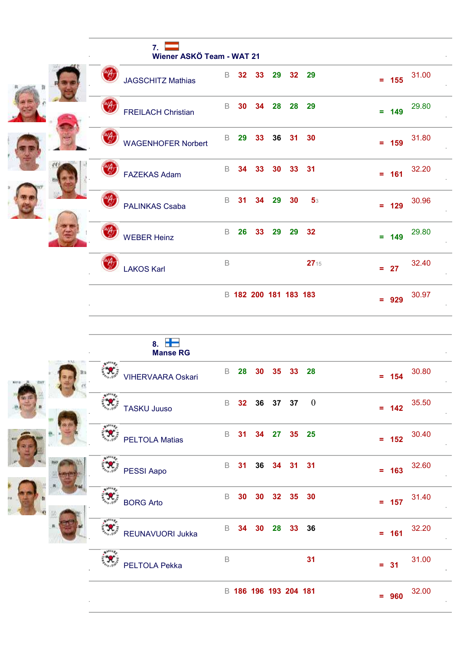|  | 7<br>Wiener ASKÖ Team - WAT 21 |             |                 |    |                       |       |                |         |       |
|--|--------------------------------|-------------|-----------------|----|-----------------------|-------|----------------|---------|-------|
|  | <b>JAGSCHITZ Mathias</b>       | B           | 32 <sub>2</sub> | 33 | 29                    |       | 32 29          | $= 155$ | 31.00 |
|  | <b>FREILACH Christian</b>      | $\mathsf B$ | 30              | 34 | 28                    | 28    | 29             | $= 149$ | 29.80 |
|  | <b>WAGENHOFER Norbert</b>      | B           | 29              | 33 | 36                    | 31 30 |                | $= 159$ | 31.80 |
|  | <b>FAZEKAS Adam</b>            | B           | 34              | 33 | 30                    | 33 31 |                | $= 161$ | 32.20 |
|  | PALINKAS Csaba                 | B           | 31              | 34 | 29                    | 30    | 5 <sub>3</sub> | $= 129$ | 30.96 |
|  | <b>WEBER Heinz</b>             | $\mathsf B$ | 26              | 33 | 29                    |       | 29 32          | $= 149$ | 29.80 |
|  | <b>LAKOS Karl</b>              | B           |                 |    |                       |       | 2715           | $= 27$  | 32.40 |
|  |                                |             |                 |    | B 182 200 181 183 183 |       |                | $= 929$ | 30.97 |

| $8. \ \blacksquare$<br><b>Manse RG</b>               |                                                           |                  |
|------------------------------------------------------|-----------------------------------------------------------|------------------|
| $\mathbf{x}^{111}$<br><b>VIHERVAARA Oskari</b>       | B<br>28<br>30<br>35<br>33<br>28                           | 30.80<br>$= 154$ |
| $\star^{111}$<br>$\mathcal{R}$<br><b>TASKU Juuso</b> | $\boldsymbol{0}$<br>B<br>32 <sub>2</sub><br>36 37<br>37   | 35.50<br>$= 142$ |
| $\ddot{\cdot}$<br><b>PELTOLA Matias</b>              | B<br>35 <sub>5</sub><br>31<br>34<br>27<br>25              | 30.40<br>$= 152$ |
| PESSI Aapo                                           | B<br>31<br>36<br>34<br>31<br>31                           | 32.60<br>$= 163$ |
| $1^{111}$<br><b>BORG Arto</b>                        | B<br>35 <sub>5</sub><br>30<br>32 <sub>2</sub><br>30<br>30 | 31.40<br>$= 157$ |
| $*^{1114}$<br>REUNAVUORI Jukka                       | 36<br>B<br>34<br>30<br>28<br>33 <sup>°</sup>              | 32.20<br>$= 161$ |
| <b>PELTOLA Pekka</b>                                 | $\mathsf B$<br>31                                         | 31.00<br>$= 31$  |
|                                                      | B 186 196 193 204 181                                     | 32.00<br>$= 960$ |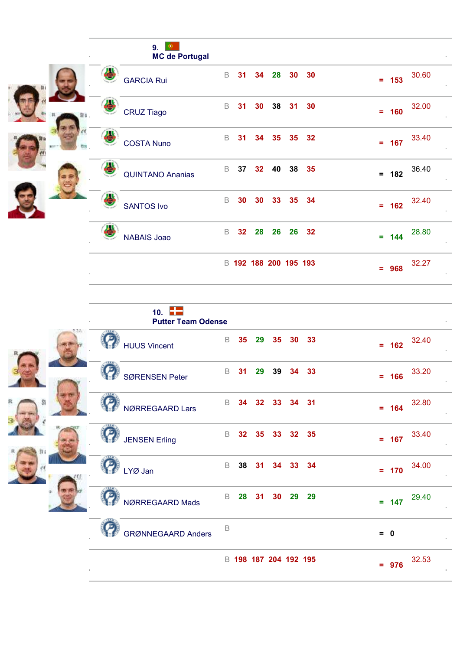|                   | 9.<br>۰<br><b>MC de Portugal</b> |             |                 |                 |    |                       |    |    |         |       |  |
|-------------------|----------------------------------|-------------|-----------------|-----------------|----|-----------------------|----|----|---------|-------|--|
| <b>GARCIA Rui</b> |                                  | $\mathsf B$ | 31              | 34              | 28 | 30 <sub>o</sub>       | 30 |    | $= 153$ | 30.60 |  |
| <b>CRUZ Tiago</b> |                                  | B           | 31              | 30 <sub>o</sub> | 38 | 31                    | 30 |    | $= 160$ | 32.00 |  |
|                   | <b>COSTA Nuno</b>                | B           | 31              | 34              | 35 | 35 <sub>5</sub>       | 32 |    | $= 167$ | 33.40 |  |
|                   | <b>QUINTANO Ananias</b>          | $\mathsf B$ | 37              | 32 <sub>2</sub> | 40 | 38                    | 35 |    | $= 182$ | 36.40 |  |
| <b>SANTOS Ivo</b> |                                  | B           | 30              | 30              | 33 | 35 34                 |    |    | $= 162$ | 32.40 |  |
|                   | <b>NABAIS Joao</b>               | B           | 32 <sub>2</sub> | 28              | 26 | 26                    | 32 |    | $= 144$ | 28.80 |  |
|                   |                                  |             |                 |                 |    | B 192 188 200 195 193 |    | Ξ. | 968     | 32.27 |  |

| 10. $\Box$<br><b>Putter Team Odense</b> |             |                 |                 |                       |                 |       |                  |
|-----------------------------------------|-------------|-----------------|-----------------|-----------------------|-----------------|-------|------------------|
| <b>HUUS Vincent</b>                     | B           | 35              | 29              | 35 <sub>5</sub>       | 30 <sub>o</sub> | 33    | 32.40<br>$= 162$ |
| <b>SØRENSEN Peter</b>                   | B           | 31              | 29              | 39                    |                 | 34 33 | 33.20<br>$= 166$ |
| NØRREGAARD Lars                         | $\mathsf B$ | 34              | 32 <sub>2</sub> | 33                    |                 | 34 31 | 32.80<br>$= 164$ |
| <b>JENSEN Erling</b>                    | B           | 32 <sub>2</sub> | 35              |                       | 33 32 35        |       | 33.40<br>$= 167$ |
| LYØ Jan                                 | B           |                 | 38 31           |                       | 34 33 34        |       | 34.00<br>$= 170$ |
| NØRREGAARD Mads                         | B           | 28              | 31              | 30                    | 29              | 29    | 29.40<br>$= 147$ |
| <b>GRØNNEGAARD Anders</b>               | B           |                 |                 |                       |                 |       | $= 0$            |
|                                         |             |                 |                 | B 198 187 204 192 195 |                 |       | 32.53<br>$= 976$ |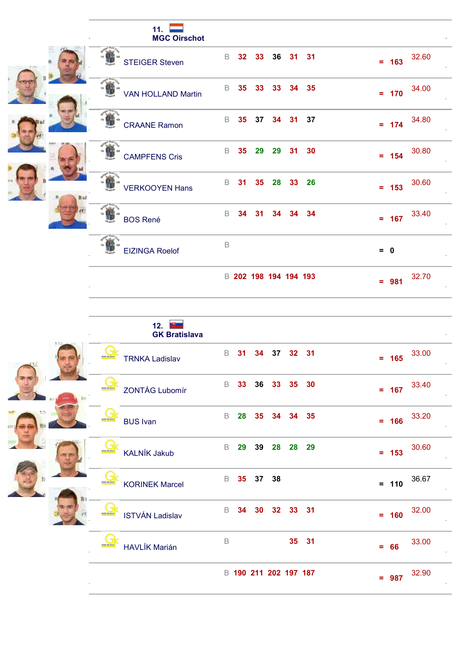| 11.<br><b>MGC Oirschot</b> |                                               |                  |
|----------------------------|-----------------------------------------------|------------------|
| <b>STEIGER Steven</b>      | B<br>32 <sub>2</sub><br>36<br>31 31<br>33     | 32.60<br>$= 163$ |
| <b>VAN HOLLAND Martin</b>  | B.<br>35 <sub>5</sub><br>35<br>33<br>34<br>33 | 34.00<br>$= 170$ |
| <b>CRAANE Ramon</b>        | B<br>35 <sub>o</sub><br>37<br>37<br>31<br>34  | 34.80<br>$= 174$ |
| <b>CAMPFENS Cris</b>       | B<br>35<br>29<br>29<br>31 30                  | 30.80<br>$= 154$ |
| <b>VERKOOYEN Hans</b>      | B<br>31<br>35 <sub>5</sub><br>28<br>33 26     | 30.60<br>$= 153$ |
| <b>BOS René</b>            | B<br>34<br>34<br>31<br>34.<br>34              | 33.40<br>$= 167$ |
| <b>EIZINGA Roelof</b>      | $\mathsf B$                                   | $= 0$            |
|                            | B 202 198 194 194 193                         | 32.70<br>$= 981$ |

|      | -9-<br>12.<br><b>GK Bratislava</b>                                                   |                  |
|------|--------------------------------------------------------------------------------------|------------------|
|      | 37<br>$\mathsf B$<br>31<br>34<br>32 31<br><b>TRNKA Ladislav</b>                      | 33.00<br>$= 165$ |
|      | lя<br>$\mathsf B$<br>36<br>30<br>33<br>35<br>33<br><b>BOYTERA</b><br>ZONTÁG Lubomír  | 33.40<br>$= 167$ |
| ግ 7. | $\mathsf B$<br>28<br>35<br>34 35<br>34<br><b>INFINITIAL</b><br><b>BUS Ivan</b>       | 33.20<br>$= 166$ |
|      | $\mathsf B$<br>29<br>39<br>28<br>28 29<br><b>BRATISHING</b><br><b>KALNÍK Jakub</b>   | 30.60<br>$= 153$ |
|      | $\mathsf B$<br>35<br>37<br>38<br><b>BRATISHTA</b><br><b>KORINEK Marcel</b>           | 36.67<br>$= 110$ |
|      | $\mathsf B$<br>33 31<br>34<br>30<br>32<br><b>ISTVÁN Ladislav</b><br><b>BRATISHTA</b> | 32.00<br>$= 160$ |
|      | B<br>35 31<br><b>HAVLÍK Marián</b>                                                   | 33.00<br>$= 66$  |
|      | B 190 211 202 197 187                                                                | 32.90<br>$= 987$ |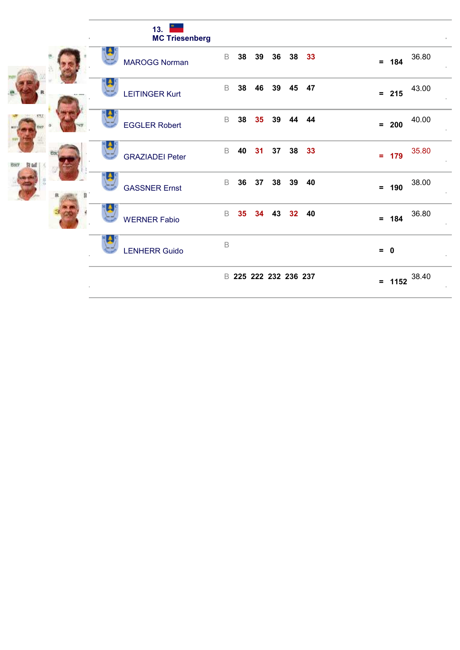|              | 13. $\Box$<br><b>MC Triesenberg</b>                            |                           |
|--------------|----------------------------------------------------------------|---------------------------|
|              | 38<br>B<br>38<br>39<br>36 <sup>°</sup><br><b>MAROGG Norman</b> | 33<br>36.80<br>$= 184$    |
|              | B<br>38<br>46<br>39<br>45<br><b>LEITINGER Kurt</b>             | 47<br>43.00<br>$= 215$    |
| err          | $\mathsf B$<br>38<br>35<br>39<br>44<br><b>EGGLER Robert</b>    | 40.00<br>44<br>$= 200$    |
| COCF St tell | $\mathsf B$<br>38<br>40<br>37<br>31<br><b>GRAZIADEI Peter</b>  | 35.80<br>33<br>$= 179$    |
|              | B<br>36<br>37<br>38<br>39<br><b>GASSNER Ernst</b>              | 40<br>38.00<br>190<br>$=$ |
|              | B<br>35 <sub>5</sub><br>43<br>32<br>34<br><b>WERNER Fabio</b>  | 36.80<br>40<br>$= 184$    |
|              | $\mathsf B$<br><b>LENHERR Guido</b>                            | $= 0$                     |
|              | B 225 222 232 236 237                                          | = $1152 \t38.40$          |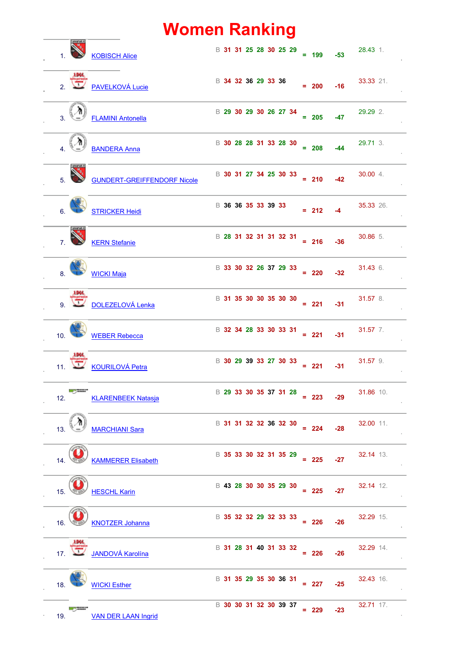### **Women Ranking**

|     |                 | <b>KOBISCH Alice</b>               | B 31 31 25 28 30 25 29 |  |  |  | $= 199$      | $-53$ | 28.43 1.  |
|-----|-----------------|------------------------------------|------------------------|--|--|--|--------------|-------|-----------|
|     |                 | <b>EDEC</b><br>2. PAVELKOVÁ Lucie  | B 34 32 36 29 33 36    |  |  |  | $= 200$      | $-16$ | 33.33 21. |
|     |                 | <b>FLAMINI Antonella</b>           | B 29 30 29 30 26 27 34 |  |  |  | $= 205$      | $-47$ | 29.29 2.  |
|     |                 | <b>BANDERA Anna</b>                | B 30 28 28 31 33 28 30 |  |  |  | $= 208$      | $-44$ | 29.71 3.  |
|     |                 | <b>GUNDERT-GREIFFENDORF Nicole</b> | B 30 31 27 34 25 30 33 |  |  |  | $= 210$      | $-42$ | 30.00 4.  |
|     |                 | <b>STRICKER Heidi</b>              | B 36 36 35 33 39 33    |  |  |  | $= 212$      | $-4$  | 35.33 26. |
|     |                 | <b>KERN</b> Stefanie               | B 28 31 32 31 31 32 31 |  |  |  | $= 216$      | $-36$ | 30.86 5.  |
|     |                 | <b>WICKI Maja</b>                  | B 33 30 32 26 37 29 33 |  |  |  | $= 220$      | $-32$ | 31.43 6.  |
|     |                 | <b>DOLEZELOVÁ Lenka</b>            | B 31 35 30 30 35 30 30 |  |  |  | $= 221$      | $-31$ | 31.57 8.  |
|     | 10.             | <b>WEBER Rebecca</b>               | B 32 34 28 33 30 33 31 |  |  |  | $= 221 - 31$ |       | 31.57 7.  |
| 11. |                 | <b>KOURILOVÁ Petra</b>             | B 30 29 39 33 27 30 33 |  |  |  | $= 221$      | $-31$ | 31.57 9.  |
| 12. |                 | <b>KLARENBEEK Natasja</b>          | B 29 33 30 35 37 31 28 |  |  |  | $= 223$      | $-29$ | 31.86 10. |
| 13. |                 | <b>MARCHIANI Sara</b>              | B 31 31 32 32 36 32 30 |  |  |  | $= 224$      | $-28$ | 32.00 11. |
| 14. |                 | <b>KAMMERER Elisabeth</b>          | B 35 33 30 32 31 35 29 |  |  |  | $= 225$      | $-27$ | 32.14 13. |
| 15. |                 | <b>HESCHL Karin</b>                | B 43 28 30 30 35 29 30 |  |  |  | $= 225$      | $-27$ | 32.14 12. |
| 16. |                 | <b>KNOTZER Johanna</b>             | B 35 32 32 29 32 33 33 |  |  |  | $= 226$      | $-26$ | 32.29 15. |
|     | 17 <sup>2</sup> | <b>JANDOVÁ Karolína</b>            | B 31 28 31 40 31 33 32 |  |  |  | $= 226$      | $-26$ | 32.29 14. |
| 18. |                 | <b>WICKI Esther</b>                | B 31 35 29 35 30 36 31 |  |  |  | $= 227$      | $-25$ | 32.43 16. |
| 19. |                 | <b>VAN DER LAAN Ingrid</b>         | B 30 30 31 32 30 39 37 |  |  |  | $= 229$      | $-23$ | 32.71 17. |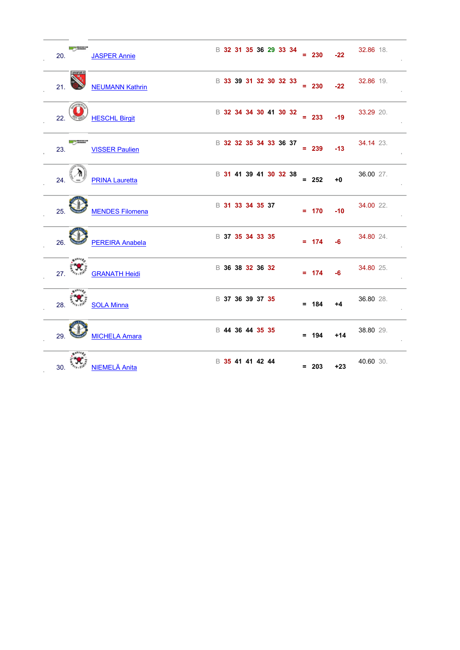| <b>Service</b><br>20.              | <b>JASPER Annie</b>    |                  |  |  | B 32 31 35 36 29 33 34 | $= 230$ | $-22$ | 32.86 18. |
|------------------------------------|------------------------|------------------|--|--|------------------------|---------|-------|-----------|
| <b>MARYAN</b><br>21.               | <b>NEUMANN Kathrin</b> |                  |  |  | B 33 39 31 32 30 32 33 | $= 230$ | $-22$ | 32.86 19. |
| 22.                                | <b>HESCHL Birgit</b>   |                  |  |  | B 32 34 34 30 41 30 32 | $= 233$ | $-19$ | 33.29 20. |
| <b>Service</b><br>23.              | <b>VISSER Paulien</b>  |                  |  |  | B 32 32 35 34 33 36 37 | $= 239$ | $-13$ | 34.14 23. |
| 24.                                | <b>PRINA Lauretta</b>  |                  |  |  | B 31 41 39 41 30 32 38 | $= 252$ | $+0$  | 36.00 27. |
| 25.                                | <b>MENDES Filomena</b> | B 31 33 34 35 37 |  |  |                        | $= 170$ | $-10$ | 34.00 22. |
| 26.                                | <b>PEREIRA Anabela</b> | B 37 35 34 33 35 |  |  |                        | $= 174$ | -6    | 34.80 24. |
| $\mathcal{L}_{\mathcal{A}}$<br>27. | <b>GRANATH Heidi</b>   | B 36 38 32 36 32 |  |  |                        | $= 174$ | $-6$  | 34.80 25. |
| $+1^{111}$                         | 28. <b>SOLA Minna</b>  | B 37 36 39 37 35 |  |  |                        | $= 184$ | $+4$  | 36.80 28. |
| 29.                                | <b>MICHELA Amara</b>   | B 44 36 44 35 35 |  |  |                        | $= 194$ | $+14$ | 38.80 29. |
| 30.                                | NIEMELÄ Anita          | B 35 41 41 42 44 |  |  |                        | $= 203$ | $+23$ | 40.60 30. |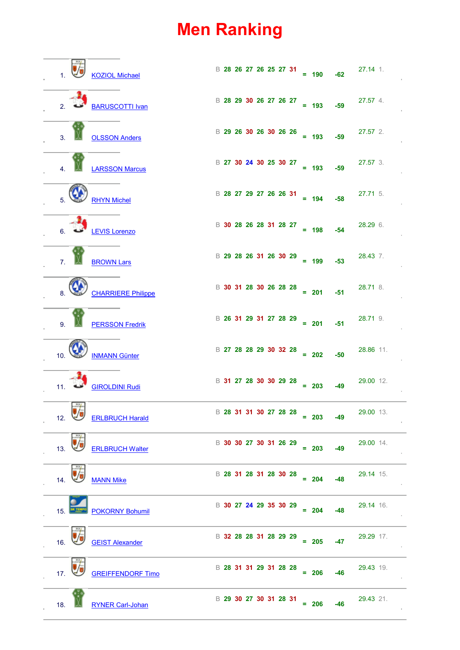### **Men Ranking**

|                  |                   | <b>KOZIOL Michael</b>     |                                                                                                                                                                                                                                                                                                                                 |  |  |                        | $\begin{array}{r} \text{B} \ 28 \ 26 \ 27 \ 26 \ 25 \ 27 \ 31 \end{array} = 190$                                                                                                                                                                                                                                           | $-62$ | $27.14$ 1.                                       |
|------------------|-------------------|---------------------------|---------------------------------------------------------------------------------------------------------------------------------------------------------------------------------------------------------------------------------------------------------------------------------------------------------------------------------|--|--|------------------------|----------------------------------------------------------------------------------------------------------------------------------------------------------------------------------------------------------------------------------------------------------------------------------------------------------------------------|-------|--------------------------------------------------|
|                  |                   | BARUSCOTTI Ivan           |                                                                                                                                                                                                                                                                                                                                 |  |  |                        |                                                                                                                                                                                                                                                                                                                            |       | B <b>28 29 30 26 27 26 27</b> = 193 -59 27.57 4. |
| $\overline{3}$ . |                   | <b>OLSSON Anders</b>      | $\begin{array}{r} \text{B} \ 29 \ 26 \ 30 \ 26 \ 30 \ 26 \ 26 \end{array} = 193$                                                                                                                                                                                                                                                |  |  |                        |                                                                                                                                                                                                                                                                                                                            | $-59$ | $27.57$ 2.                                       |
|                  |                   | <b>LARSSON Marcus</b>     |                                                                                                                                                                                                                                                                                                                                 |  |  |                        | $\begin{array}{ccccccccc}\n\text{B} & 27 & 30 & 24 & 30 & 25 & 30 & 27 \\ \text{B} & 27 & 30 & 24 & 30 & 25 & 30 & 27 \\ \text{C} & 21 & 30 & 25 & 30 & 27 & 21 & 23 \\ \text{D} & 22 & 30 & 25 & 30 & 27 & 21 & 23 & 25\n\end{array}$                                                                                     |       | 27.57 3.                                         |
|                  |                   | <b>RHYN Michel</b>        |                                                                                                                                                                                                                                                                                                                                 |  |  |                        | $\frac{13}{28}$ 27 29 27 26 26 31 = 194 -58                                                                                                                                                                                                                                                                                |       | $27.71$ 5.                                       |
|                  |                   | LEVIS Lorenzo             |                                                                                                                                                                                                                                                                                                                                 |  |  |                        | $\begin{array}{ l c c c c c }\n\hline\n\text{B} & \text{30} & \text{28} & \text{26} & \text{28} & \text{31} & \text{28} & \text{27} \\ \hline\n\end{array}$ = 198                                                                                                                                                          | $-54$ | 28.29 6.                                         |
| $\mathbf{z}$     |                   | <b>BROWN Lars</b>         | $\begin{array}{r} \text{B} & 29 & 28 & 26 & 31 & 26 & 30 & 29 \\ \text{B} & 29 & 28 & 26 & 31 & 26 & 30 & 29 \\ \text{C} & \text{D} & 29 & 29 & 29 & 29 \\ \text{D} & \text{D} & 29 & 29 & 29 & 29 \\ \text{E} & \text{D} & 29 & 29 & 29 & 29 \\ \text{E} & \text{E} & \text{E} & \text{E} & \text{E} & \text{E} \end{array}$   |  |  |                        |                                                                                                                                                                                                                                                                                                                            | $-53$ | 28.43 7.                                         |
|                  |                   | <b>CHARRIERE Philippe</b> |                                                                                                                                                                                                                                                                                                                                 |  |  |                        | $\begin{array}{r} \text{B} & 30 & 31 & 28 & 30 & 26 & 28 & 28 \\ \text{B} & 30 & 31 & 28 & 30 & 26 & 28 & 28 \\ \text{C} & 30 & 31 & 32 & 33 & 28 & 28 \\ \text{D} & 31 & 32 & 33 & 34 & 32 & 33 \\ \text{E} & 32 & 33 & 34 & 32 & 33 & 34 \\ \text{E} & 33 & 32 & 33 & 34 & 34 & 35 \\ \text{E} & 34 & 33 & 34 & 34 & 35$ |       | 28.71 8.                                         |
|                  |                   | <b>PERSSON Fredrik</b>    |                                                                                                                                                                                                                                                                                                                                 |  |  |                        | $\begin{array}{r} \text{B} & 26 & 31 & 29 & 31 & 27 & 28 & 29 \\ \text{B} & 29 & 31 & 27 & 28 & 29 \\ \text{C} & 201 & 201 & 201 & 201 \end{array}$                                                                                                                                                                        | $-51$ | 28.71 9.                                         |
| 10 <sub>1</sub>  |                   | <b>INMANN Günter</b>      | $\begin{array}{r} \text{B} & 27 & 28 & 28 & 29 & 30 & 32 & 28 \\ \text{B} & 27 & 28 & 29 & 30 & 32 & 28 \\ \text{C} & 20 & 20 & 20 & 25 & 25 \\ \text{D} & 20 & 20 & 20 & 25 & 25 \\ \text{E} & 20 & 20 & 20 & 25 & 25 \\ \text{E} & 20 & 20 & 20 & 25 & 25 \\ \text{E} & 20 & 20 & 20 & 25 & 25 \\ \text{E} & 20 & 20 & 20 & $ |  |  |                        |                                                                                                                                                                                                                                                                                                                            |       | 28.86 11.                                        |
| 11.              |                   | <b>GIROLDINI Rudi</b>     | $\begin{array}{r} \text{B} & 31 & 27 & 28 & 30 & 30 & 29 & 28 \\ \text{B} & 31 & 27 & 28 & 30 & 30 & 29 & 28 \\ \text{C} & \text{D} & \text{D} & \text{D} & \text{D} & \text{D} & \text{D} \end{array}$                                                                                                                         |  |  |                        |                                                                                                                                                                                                                                                                                                                            | $-49$ | 29.00 12.                                        |
| 12.              | $R_{\rm H}$<br>Vj | <b>ERLBRUCH Harald</b>    |                                                                                                                                                                                                                                                                                                                                 |  |  | B 28 31 31 30 27 28 28 | $= 203$                                                                                                                                                                                                                                                                                                                    | $-49$ | 29.00 13.                                        |
| 13.              |                   | <b>ERLBRUCH Walter</b>    |                                                                                                                                                                                                                                                                                                                                 |  |  | B 30 30 27 30 31 26 29 | $= 203$                                                                                                                                                                                                                                                                                                                    | $-49$ | 29.00 14.                                        |
| 14.              |                   | <b>MANN Mike</b>          |                                                                                                                                                                                                                                                                                                                                 |  |  | B 28 31 28 31 28 30 28 | $= 204$                                                                                                                                                                                                                                                                                                                    | $-48$ | 29.14 15.                                        |
| 15.              |                   | <b>POKORNY Bohumil</b>    |                                                                                                                                                                                                                                                                                                                                 |  |  | B 30 27 24 29 35 30 29 | $= 204$                                                                                                                                                                                                                                                                                                                    | $-48$ | 29.14 16.                                        |
| 16.              |                   | <b>GEIST Alexander</b>    |                                                                                                                                                                                                                                                                                                                                 |  |  | B 32 28 28 31 28 29 29 | $= 205$                                                                                                                                                                                                                                                                                                                    | -47   | 29.29 17.                                        |
| 17.              |                   | <b>GREIFFENDORF Timo</b>  |                                                                                                                                                                                                                                                                                                                                 |  |  | B 28 31 31 29 31 28 28 | $= 206$                                                                                                                                                                                                                                                                                                                    | $-46$ | 29.43 19.                                        |
| 18.              |                   | <b>RYNER Carl-Johan</b>   |                                                                                                                                                                                                                                                                                                                                 |  |  | B 29 30 27 30 31 28 31 | $= 206$                                                                                                                                                                                                                                                                                                                    | $-46$ | 29.43 21.                                        |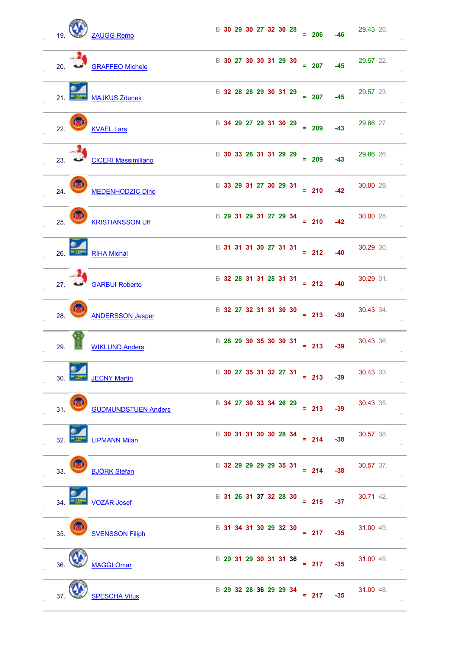| 19.<br>ZAUGG Remo                              | B 30 29 30 27 32 30 28 = 206<br>29.43 20.<br>$-46$                                                                                                                                                                                                                                                                                                    |
|------------------------------------------------|-------------------------------------------------------------------------------------------------------------------------------------------------------------------------------------------------------------------------------------------------------------------------------------------------------------------------------------------------------|
| 20. GRAFFEO Michele                            | B 30 27 30 30 31 29 30<br>29.57 22.<br>$= 207$<br>$-45$                                                                                                                                                                                                                                                                                               |
| 21.<br><b>MAJKUS Zdenek</b>                    | B 32 28 28 29 30 31 29<br>29.57 23.<br>$= 207$<br>$-45$                                                                                                                                                                                                                                                                                               |
| $\bm{\mathcal{D}}$<br>22.<br><b>KVAEL Lars</b> | B 34 29 27 29 31 30 29<br>29.86 27.<br>$= 209$<br>$-43$                                                                                                                                                                                                                                                                                               |
| 23. CICERI Massimiliano                        | B 30 33 26 31 31 29 29<br>29.86 26.<br>$= 209$<br>$-43$                                                                                                                                                                                                                                                                                               |
| 24.<br><b>MEDENHODZIC Dino</b>                 | B 33 29 31 27 30 29 31<br>30.00 29.<br>$= 210$<br>$-42$                                                                                                                                                                                                                                                                                               |
| 25.<br><b>KRISTIANSSON UIF</b>                 | B 29 31 29 31 27 29 34<br>30.00 28.<br>$= 210$<br>$-42$                                                                                                                                                                                                                                                                                               |
| RÍHA Michal<br>26.                             | B 31 31 31 30 27 31 31 = 212 -40<br>30.29 30.                                                                                                                                                                                                                                                                                                         |
| <b>GARBUI Roberto</b><br>27.                   | $\begin{array}{r} \text{B} & 32 & 28 & 31 & 31 & 28 & 31 & 31 \\ \text{B} & 32 & 28 & 31 & 32 & 31 & 31 \\ \text{C} & 31 & 31 & 31 & 31 & 31 \\ \text{D} & 32 & 33 & 31 & 31 & 31 \\ \text{E} & 33 & 33 & 33 & 31 & 32 & 33 \\ \text{E} & 34 & 33 & 33 & 33 & 34 & 35 \\ \text{E} & 35 & 33 & 33 & 33 & 34 & 35 \\ \text{E} & $<br>30.29 31.<br>$-40$ |
| 28.<br><b>ANDERSSON Jesper</b>                 | B 32 27 32 31 31 30 30<br>30.43 34.<br>$= 213$<br>$-39$                                                                                                                                                                                                                                                                                               |
| 29.<br><b>WIKLUND Anders</b>                   | B 28 29 30 35 30 30 31<br>30.43 36.<br>$= 213$<br>$-39$                                                                                                                                                                                                                                                                                               |
| <b>JECNY Martin</b><br>30. <b>MALLAND</b>      | B 30 27 35 31 32 27 31<br>30.43 33.<br>$= 213$<br>$-39$                                                                                                                                                                                                                                                                                               |
| 31.<br><b>GUDMUNDSTUEN Anders</b>              | B 34 27 30 33 34 26 29<br>30.43 35.<br>$= 213$<br>$-39$                                                                                                                                                                                                                                                                                               |
| 32.<br><b>LIPMANN Milan</b>                    | B 30 31 31 30 30 28 34<br>30.57 38.<br>$= 214$<br>$-38$                                                                                                                                                                                                                                                                                               |
| 33.<br><b>BJÖRK Stefan</b>                     | B 32 29 29 29 29 35 31<br>30.57 37.<br>$= 214$<br>$-38$                                                                                                                                                                                                                                                                                               |
| 34.<br><b>VOZÁR Josef</b>                      | B 31 26 31 37 32 28 30<br>30.71 42.<br>$= 215$<br>$-37$                                                                                                                                                                                                                                                                                               |
| 35.<br><b>SVENSSON Filiph</b>                  | B 31 34 31 30 29 32 30<br>31.00 49.<br>$-35$<br>$= 217$                                                                                                                                                                                                                                                                                               |
| 36.<br><b>MAGGI Omar</b>                       | B 29 31 29 30 31 31 36 = 217<br>31.00 45.<br>$-35$                                                                                                                                                                                                                                                                                                    |
| <b>SPESCHA Vitus</b><br>37.                    | B 29 32 28 36 29 29 34<br>31.00 48.<br>$= 217$<br>$-35$                                                                                                                                                                                                                                                                                               |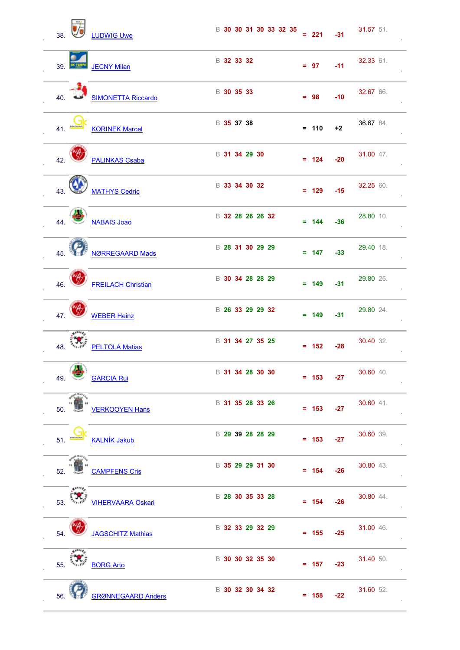| 38. |                  | <b>LUDWIG Uwe</b>         |                  |  | B 30 30 31 30 33 32 35 | $= 221$ | $-31$ | 31.57 51. |
|-----|------------------|---------------------------|------------------|--|------------------------|---------|-------|-----------|
| 39. |                  | <b>JECNY Milan</b>        | B 32 33 32       |  |                        | $= 97$  | $-11$ | 32.33 61. |
| 40. |                  | <b>SIMONETTA Riccardo</b> | В 30 35 33       |  |                        | $= 98$  | $-10$ | 32.67 66. |
| 41. |                  | <b>KORINEK Marcel</b>     | В 35 37 38       |  |                        | $= 110$ | $+2$  | 36.67 84. |
| 42. |                  | <b>PALINKAS Csaba</b>     | B 31 34 29 30    |  |                        | $= 124$ | $-20$ | 31.00 47. |
| 43. |                  | <b>MATHYS Cedric</b>      | B 33 34 30 32    |  |                        | $= 129$ | $-15$ | 32.25 60. |
| 44. |                  | <b>NABAIS Joao</b>        | B 32 28 26 26 32 |  |                        | $= 144$ | $-36$ | 28.80 10. |
| 45. |                  | <b>NØRREGAARD Mads</b>    | B 28 31 30 29 29 |  |                        | $= 147$ | $-33$ | 29.40 18. |
| 46. |                  | <b>FREILACH Christian</b> | B 30 34 28 28 29 |  |                        | $= 149$ | $-31$ | 29.80 25. |
| 47. |                  | <b>WEBER Heinz</b>        | B 26 33 29 29 32 |  |                        | $= 149$ | $-31$ | 29.80 24. |
| 48. |                  | <b>PELTOLA Matias</b>     | B 31 34 27 35 25 |  |                        | $= 152$ | $-28$ | 30.40 32. |
| 49. | /mi              | <b>GARCIA Rui</b>         | B 31 34 28 30 30 |  |                        | $= 153$ | $-27$ | 30.60 40. |
| 50. |                  | <b>VERKOOYEN Hans</b>     | B 31 35 28 33 26 |  |                        | $= 153$ | $-27$ | 30.60 41. |
| 51. | <b>BOV BLAVE</b> | <b>KALNÍK Jakub</b>       | B 29 39 28 28 29 |  |                        | $= 153$ | $-27$ | 30.60 39. |
| 52. |                  | <b>CAMPFENS Cris</b>      | B 35 29 29 31 30 |  |                        | $= 154$ | $-26$ | 30.80 43. |
| 53. | $4^{111}$        | <b>VIHERVAARA Oskari</b>  | B 28 30 35 33 28 |  |                        | $= 154$ | $-26$ | 30.80 44. |
| 54. |                  | <b>JAGSCHITZ Mathias</b>  | B 32 33 29 32 29 |  |                        | $= 155$ | $-25$ | 31.00 46. |
| 55. |                  | <b>BORG Arto</b>          | B 30 30 32 35 30 |  |                        | $= 157$ | $-23$ | 31.40 50. |
| 56. |                  | <b>GRØNNEGAARD Anders</b> | B 30 32 30 34 32 |  |                        | $= 158$ | $-22$ | 31.60 52. |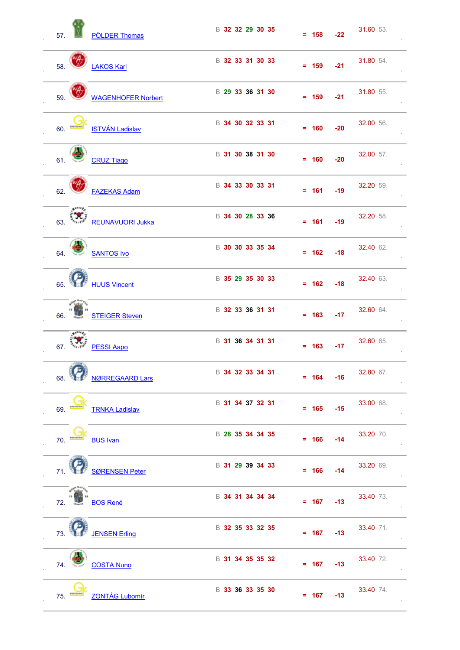| 57. |                      | <b>PÖLDER Thomas</b>      | B 32 32 29 30 35 | $= 158$ | $-22$ | 31.60 53. |
|-----|----------------------|---------------------------|------------------|---------|-------|-----------|
| 58. |                      | <b>LAKOS Karl</b>         | B 32 33 31 30 33 | $= 159$ | $-21$ | 31.80 54. |
| 59. |                      | <b>WAGENHOFER Norbert</b> | B 29 33 36 31 30 | $= 159$ | $-21$ | 31.80 55. |
|     | 60.                  | <b>ISTVÁN Ladislav</b>    | B 34 30 32 33 31 | $= 160$ | $-20$ | 32.00 56. |
| 61. |                      | <b>CRUZ Tiago</b>         | B 31 30 38 31 30 | $= 160$ | $-20$ | 32.00 57. |
| 62. |                      | <b>FAZEKAS Adam</b>       | B 34 33 30 33 31 | $= 161$ | $-19$ | 32.20 59. |
| 63. | $4^{111}$            | REUNAVUORI Jukka          | B 34 30 28 33 36 | $= 161$ | $-19$ | 32.20 58. |
| 64. |                      | <b>SANTOS Ivo</b>         | B 30 30 33 35 34 | $= 162$ | $-18$ | 32.40 62. |
| 65. |                      | <b>HUUS Vincent</b>       | B 35 29 35 30 33 | $= 162$ | $-18$ | 32.40 63. |
|     |                      | 66. STEIGER Steven        | B 32 33 36 31 31 | $= 163$ | $-17$ | 32.60 64. |
|     | 67. $e_{n+1}$        | <b>PESSI Aapo</b>         | B 31 36 34 31 31 | $= 163$ | $-17$ | 32.60 65. |
|     | $\rightarrow$        | 68. NORREGAARD Lars       | B 34 32 33 34 31 | $= 164$ | $-16$ | 32.80 67. |
| 69. |                      | <b>TRNKA Ladislav</b>     | B 31 34 37 32 31 | $= 165$ | $-15$ | 33.00 68. |
|     | 70. <b>Explorado</b> | <b>BUS Ivan</b>           | B 28 35 34 34 35 | $= 166$ | $-14$ | 33.20 70. |
|     | 71 4 3               | <b>SØRENSEN Peter</b>     | B 31 29 39 34 33 | $= 166$ | $-14$ | 33.20 69. |
|     |                      | 72. BOS René              | B 34 31 34 34 34 | $= 167$ | $-13$ | 33.40 73. |
|     |                      | 73. JENSEN Erling         | B 32 35 33 32 35 | $= 167$ | $-13$ | 33.40 71. |
| 74. |                      | <b>COSTA Nuno</b>         | B 31 34 35 35 32 | $= 167$ | $-13$ | 33.40 72. |
| 75. |                      | <b>ZONTÁG Lubomír</b>     | B 33 36 33 35 30 | $= 167$ | $-13$ | 33.40 74. |